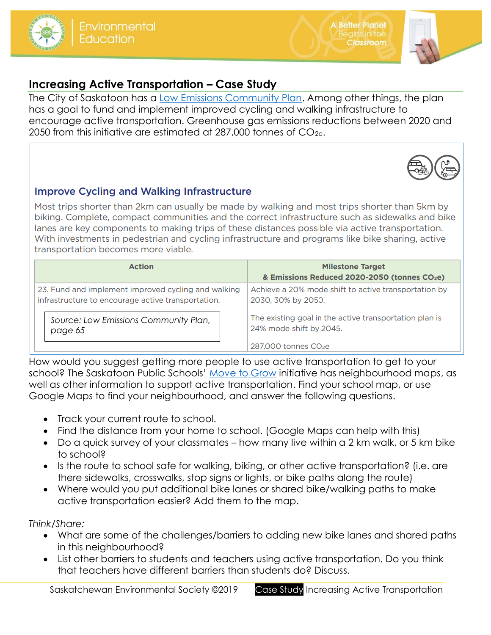

## **Increasing Active Transportation – Case Study**

The City of Saskatoon has a [Low Emissions Community Plan.](https://www.saskatoon.ca/sites/default/files/documents/low_emissions_report-aug8_web.pdf) Among other things, the plan has a goal to fund and implement improved cycling and walking infrastructure to encourage active transportation. Greenhouse gas emissions reductions between 2020 and 2050 from this initiative are estimated at  $287,000$  tonnes of  $CO_{2e}$ .

## **Improve Cycling and Walking Infrastructure**

Most trips shorter than 2km can usually be made by walking and most trips shorter than 5km by biking. Complete, compact communities and the correct infrastructure such as sidewalks and bike lanes are key components to making trips of these distances possible via active transportation. With investments in pedestrian and cycling infrastructure and programs like bike sharing, active transportation becomes more viable.

| <b>Action</b>                                       | <b>Milestone Target</b><br>& Emissions Reduced 2020-2050 (tonnes CO2e) |
|-----------------------------------------------------|------------------------------------------------------------------------|
| 23. Fund and implement improved cycling and walking | Achieve a 20% mode shift to active transportation by                   |
| infrastructure to encourage active transportation.  | 2030, 30% by 2050.                                                     |
| Source: Low Emissions Community Plan,               | The existing goal in the active transportation plan is                 |
| page 65                                             | 24% mode shift by 2045.                                                |
|                                                     | $287,000$ tonnes $CO2e$                                                |

How would you suggest getting more people to use active transportation to get to your school? The Saskatoon Public Schools' [Move to Grow](https://www.spsd.sk.ca/division/movetogrow/Pages/default.aspx#/=) initiative has neighbourhood maps, as well as other information to support active transportation. Find your school map, or use Google Maps to find your neighbourhood, and answer the following questions.

- Track your current route to school.
- Find the distance from your home to school. (Google Maps can help with this)
- Do a quick survey of your classmates how many live within a 2 km walk, or 5 km bike to school?
- Is the route to school safe for walking, biking, or other active transportation? (i.e. are there sidewalks, crosswalks, stop signs or lights, or bike paths along the route)
- Where would you put additional bike lanes or shared bike/walking paths to make active transportation easier? Add them to the map.

*Think/Share:*

- What are some of the challenges/barriers to adding new bike lanes and shared paths in this neighbourhood?
- List other barriers to students and teachers using active transportation. Do you think that teachers have different barriers than students do? Discuss.

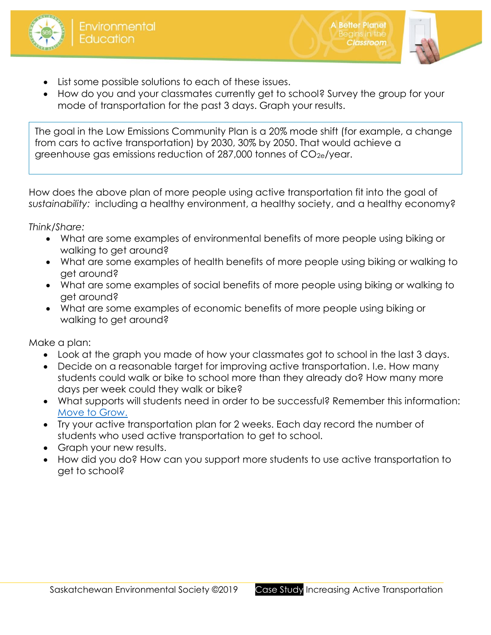



**A Better Planet** 

**lassroom** 

- List some possible solutions to each of these issues.
- How do you and your classmates currently get to school? Survey the group for your mode of transportation for the past 3 days. Graph your results.

The goal in the Low Emissions Community Plan is a 20% mode shift (for example, a change from cars to active transportation) by 2030, 30% by 2050. That would achieve a greenhouse gas emissions reduction of 287,000 tonnes of CO2e/year.

How does the above plan of more people using active transportation fit into the goal of *sustainability:* including a healthy environment, a healthy society, and a healthy economy?

*Think/Share:*

- What are some examples of environmental benefits of more people using biking or walking to get around?
- What are some examples of health benefits of more people using biking or walking to get around?
- What are some examples of social benefits of more people using biking or walking to get around?
- What are some examples of economic benefits of more people using biking or walking to get around?

Make a plan:

- Look at the graph you made of how your classmates got to school in the last 3 days.
- Decide on a reasonable target for improving active transportation. I.e. How many students could walk or bike to school more than they already do? How many more days per week could they walk or bike?
- What supports will students need in order to be successful? Remember this information: [Move to Grow.](https://www.spsd.sk.ca/division/movetogrow/Pages/default.aspx#/=)
- Try your active transportation plan for 2 weeks. Each day record the number of students who used active transportation to get to school.
- Graph your new results.
- How did you do? How can you support more students to use active transportation to get to school?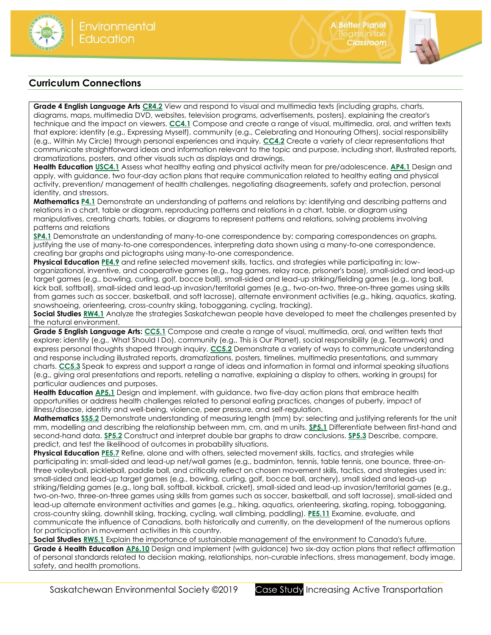

## **Curriculum Connections**

**Grade 4 English Language Art[s CR4.2](https://www.edonline.sk.ca/webapps/moe-curriculum-BB5f208b6da4613/CurriculumOutcomeContent?id=30&oc=64865)** View and respond to visual and multimedia texts (including graphs, charts, diagrams, maps, multimedia DVD, websites, television programs, advertisements, posters), explaining the creator's technique and the impact on viewers. **[CC4.1](https://www.edonline.sk.ca/webapps/moe-curriculum-BB5f208b6da4613/CurriculumOutcomeContent?id=30&oc=64895)** Compose and create a range of visual, multimedia, oral, and written texts that explore: identity (e.g., Expressing Myself), community (e.g., Celebrating and Honouring Others), social responsibility (e.g., Within My Circle) through personal experiences and inquiry. **[CC4.2](https://www.edonline.sk.ca/webapps/moe-curriculum-BB5f208b6da4613/CurriculumOutcomeContent?id=30&oc=64899)** Create a variety of clear representations that communicate straightforward ideas and information relevant to the topic and purpose, including short, illustrated reports, dramatizations, posters, and other visuals such as displays and drawings.

**Health Educatio[n USC4.1](https://www.edonline.sk.ca/webapps/moe-curriculum-BB5f208b6da4613/CurriculumOutcomeContent?id=48&oc=76224)** Assess what healthy eating and physical activity mean for pre/adolescence. **[AP4.1](https://www.edonline.sk.ca/webapps/moe-curriculum-BB5f208b6da4613/CurriculumOutcomeContent?id=48&oc=76297)** Design and apply, with guidance, two four-day action plans that require communication related to healthy eating and physical activity, prevention/ management of health challenges, negotiating disagreements, safety and protection, personal identity, and stressors.

**Mathematics [P4.1](https://www.edonline.sk.ca/webapps/moe-curriculum-BB5f208b6da4613/CurriculumOutcomeContent?id=148&oc=79247)** Demonstrate an understanding of patterns and relations by: identifying and describing patterns and relations in a chart, table or diagram, reproducing patterns and relations in a chart, table, or diagram using manipulatives, creating charts, tables, or diagrams to represent patterns and relations, solving problems involving patterns and relations

**[SP4.1](https://www.edonline.sk.ca/webapps/moe-curriculum-BB5f208b6da4613/CurriculumOutcomeContent?id=148&oc=79316)** Demonstrate an understanding of many-to-one correspondence by: comparing correspondences on graphs, justifying the use of many-to-one correspondences, interpreting data shown using a many-to-one correspondence, creating bar graphs and pictographs using many-to-one correspondence.

**Physical Education [PE4.9](https://www.edonline.sk.ca/webapps/moe-curriculum-BB5f208b6da4613/CurriculumOutcomeContent?id=194&oc=30097)** and refine selected movement skills, tactics, and strategies while participating in: loworganizational, inventive, and cooperative games (e.g., tag games, relay race, prisoner's base), small-sided and lead-up target games (e.g., bowling, curling, golf, bocce ball), small-sided and lead-up striking/fielding games (e.g., long ball, kick ball, softball), small-sided and lead-up invasion/territorial games (e.g., two-on-two, three-on-three games using skills from games such as soccer, basketball, and soft lacrosse), alternate environment activities (e.g., hiking, aquatics, skating, snowshoeing, orienteering, cross-country skiing, tobogganing, cycling, tracking).

**Social Studies [RW4.1](https://www.edonline.sk.ca/webapps/moe-curriculum-BB5f208b6da4613/CurriculumOutcomeContent?id=167&oc=83656)** Analyze the strategies Saskatchewan people have developed to meet the challenges presented by the natural environment.

**Grade 5 English Language Arts: [CC5.1](https://www.edonline.sk.ca/webapps/moe-curriculum-BB5f208b6da4613/CurriculumOutcomeContent?id=31&oc=64976)** Compose and create a range of visual, multimedia, oral, and written texts that explore: identity (e.g., What Should I Do), community (e.g., This is Our Planet), social responsibility (e.g. Teamwork) and express personal thoughts shaped through inquiry. **[CC5.2](https://www.edonline.sk.ca/webapps/moe-curriculum-BB5f208b6da4613/CurriculumOutcomeContent?id=31&oc=64980)** Demonstrate a variety of ways to communicate understanding and response including illustrated reports, dramatizations, posters, timelines, multimedia presentations, and summary charts. **[CC5.3](https://www.edonline.sk.ca/webapps/moe-curriculum-BB5f208b6da4613/CurriculumOutcomeContent?id=31&oc=64990)** Speak to express and support a range of ideas and information in formal and informal speaking situations (e.g., giving oral presentations and reports, retelling a narrative, explaining a display to others, working in groups) for particular audiences and purposes.

**Health Education [AP5.1](https://www.edonline.sk.ca/webapps/moe-curriculum-BB5f208b6da4613/CurriculumOutcomeContent?id=49&oc=76389)** Design and implement, with guidance, two five-day action plans that embrace health opportunities or address health challenges related to personal eating practices, changes of puberty, impact of illness/disease, identity and well-being, violence, peer pressure, and self-regulation.

**Mathematics [SS5.2](https://www.edonline.sk.ca/webapps/moe-curriculum-BB5f208b6da4613/CurriculumOutcomeContent?id=149&oc=78504)** Demonstrate understanding of measuring length (mm) by: selecting and justifying referents for the unit mm, modelling and describing the relationship between mm, cm, and m units. **[SP5.1](https://www.edonline.sk.ca/webapps/moe-curriculum-BB5f208b6da4613/CurriculumOutcomeContent?id=149&oc=78545)** Differentiate between first-hand and second-hand data. **[SP5.2](https://www.edonline.sk.ca/webapps/moe-curriculum-BB5f208b6da4613/CurriculumOutcomeContent?id=149&oc=78550)** Construct and interpret double bar graphs to draw conclusions. **[SP5.3](https://www.edonline.sk.ca/webapps/moe-curriculum-BB5f208b6da4613/CurriculumOutcomeContent?id=149&oc=78554)** Describe, compare, predict, and test the likelihood of outcomes in probability situations.

**Physical Education [PE5.7](https://www.edonline.sk.ca/webapps/moe-curriculum-BB5f208b6da4613/CurriculumOutcomeContent?id=195&oc=99412)** Refine, alone and with others, selected movement skills, tactics, and strategies while participating in: small-sided and lead-up net/wall games (e.g., badminton, tennis, table tennis, one bounce, three-onthree volleyball, pickleball, paddle ball, and critically reflect on chosen movement skills, tactics, and strategies used in: small-sided and lead-up target games (e.g., bowling, curling, golf, bocce ball, archery), small sided and lead-up striking/fielding games (e.g., long ball, softball, kickball, cricket), small-sided and lead-up invasion/territorial games (e.g., two-on-two, three-on-three games using skills from games such as soccer, basketball, and soft lacrosse), small-sided and lead-up alternate environment activities and games (e.g., hiking, aquatics, orienteering, skating, roping, tobogganing, cross-country skiing, downhill skiing, tracking, cycling, wall climbing, paddling). **[PE5.11](https://www.edonline.sk.ca/webapps/moe-curriculum-BB5f208b6da4613/CurriculumOutcomeContent?id=195&oc=99443)** Examine, evaluate, and communicate the influence of Canadians, both historically and currently, on the development of the numerous options for participation in movement activities in this country.

**Social Studie[s RW5.1](https://www.edonline.sk.ca/webapps/moe-curriculum-BB5f208b6da4613/CurriculumOutcomeContent?id=168&oc=83738)** Explain the importance of sustainable management of the environment to Canada's future.

**Grade 6 Health Educatio[n AP6.10](https://www.edonline.sk.ca/webapps/moe-curriculum-BB5f208b6da4613/CurriculumOutcomeContent?id=50&oc=76492)** Design and implement (with guidance) two six-day action plans that reflect affirmation of personal standards related to decision making, relationships, non-curable infections, stress management, body image, safety, and health promotions.